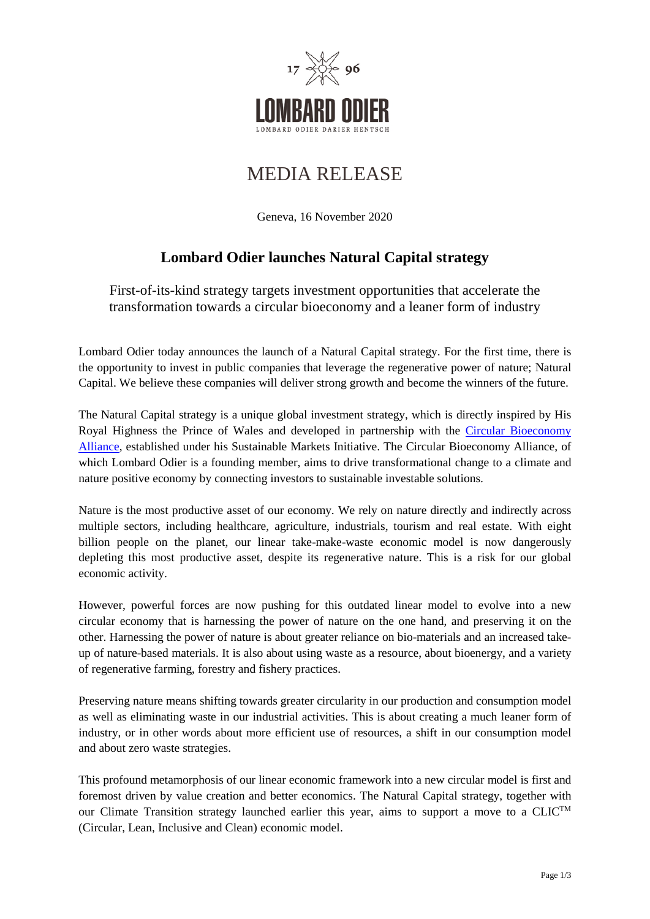

# MEDIA RELEASE

Geneva, 16 November 2020

## **Lombard Odier launches Natural Capital strategy**

First-of-its-kind strategy targets investment opportunities that accelerate the transformation towards a circular bioeconomy and a leaner form of industry

Lombard Odier today announces the launch of a Natural Capital strategy. For the first time, there is the opportunity to invest in public companies that leverage the regenerative power of nature; Natural Capital. We believe these companies will deliver strong growth and become the winners of the future.

The Natural Capital strategy is a unique global investment strategy, which is directly inspired by His Royal Highness the Prince of Wales and developed in partnership with the [Circular Bioeconomy](https://efi.int/sites/default/files/files/cba/Circular_Bioeconomy_Alliance_leaflet_final.pdf)  [Alliance,](https://efi.int/sites/default/files/files/cba/Circular_Bioeconomy_Alliance_leaflet_final.pdf) established under his Sustainable Markets Initiative. The Circular Bioeconomy Alliance, of which Lombard Odier is a founding member, aims to drive transformational change to a climate and nature positive economy by connecting investors to sustainable investable solutions.

Nature is the most productive asset of our economy. We rely on nature directly and indirectly across multiple sectors, including healthcare, agriculture, industrials, tourism and real estate. With eight billion people on the planet, our linear take-make-waste economic model is now dangerously depleting this most productive asset, despite its regenerative nature. This is a risk for our global economic activity.

However, powerful forces are now pushing for this outdated linear model to evolve into a new circular economy that is harnessing the power of nature on the one hand, and preserving it on the other. Harnessing the power of nature is about greater reliance on bio-materials and an increased takeup of nature-based materials. It is also about using waste as a resource, about bioenergy, and a variety of regenerative farming, forestry and fishery practices.

Preserving nature means shifting towards greater circularity in our production and consumption model as well as eliminating waste in our industrial activities. This is about creating a much leaner form of industry, or in other words about more efficient use of resources, a shift in our consumption model and about zero waste strategies.

This profound metamorphosis of our linear economic framework into a new circular model is first and foremost driven by value creation and better economics. The Natural Capital strategy, together with our Climate Transition strategy launched earlier this year, aims to support a move to a  $CLIC^{TM}$ (Circular, Lean, Inclusive and Clean) economic model.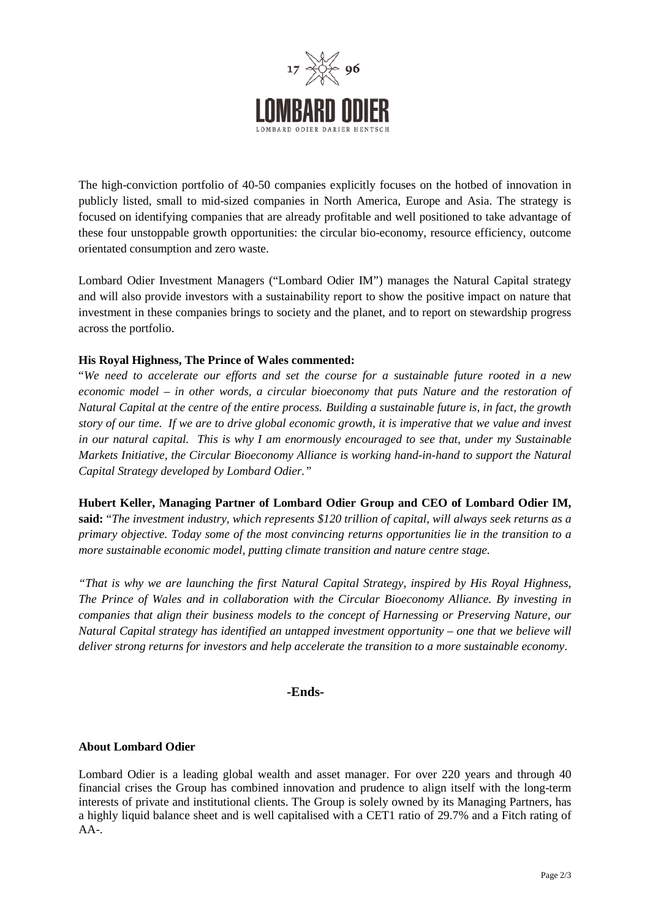

The high-conviction portfolio of 40-50 companies explicitly focuses on the hotbed of innovation in publicly listed, small to mid-sized companies in North America, Europe and Asia. The strategy is focused on identifying companies that are already profitable and well positioned to take advantage of these four unstoppable growth opportunities: the circular bio-economy, resource efficiency, outcome orientated consumption and zero waste.

Lombard Odier Investment Managers ("Lombard Odier IM") manages the Natural Capital strategy and will also provide investors with a sustainability report to show the positive impact on nature that investment in these companies brings to society and the planet, and to report on stewardship progress across the portfolio.

### **His Royal Highness, The Prince of Wales commented:**

"*We need to accelerate our efforts and set the course for a sustainable future rooted in a new economic model – in other words, a circular bioeconomy that puts Nature and the restoration of Natural Capital at the centre of the entire process. Building a sustainable future is, in fact, the growth story of our time. If we are to drive global economic growth, it is imperative that we value and invest in our natural capital. This is why I am enormously encouraged to see that, under my Sustainable Markets Initiative, the Circular Bioeconomy Alliance is working hand-in-hand to support the Natural Capital Strategy developed by Lombard Odier."*

**Hubert Keller, Managing Partner of Lombard Odier Group and CEO of Lombard Odier IM, said:** "*The investment industry, which represents \$120 trillion of capital, will always seek returns as a primary objective. Today some of the most convincing returns opportunities lie in the transition to a more sustainable economic model, putting climate transition and nature centre stage.*

*"That is why we are launching the first Natural Capital Strategy, inspired by His Royal Highness, The Prince of Wales and in collaboration with the Circular Bioeconomy Alliance. By investing in companies that align their business models to the concept of Harnessing or Preserving Nature, our Natural Capital strategy has identified an untapped investment opportunity – one that we believe will deliver strong returns for investors and help accelerate the transition to a more sustainable economy*.

#### **-Ends-**

#### **About Lombard Odier**

Lombard Odier is a leading global wealth and asset manager. For over 220 years and through 40 financial crises the Group has combined innovation and prudence to align itself with the long-term interests of private and institutional clients. The Group is solely owned by its Managing Partners, has a highly liquid balance sheet and is well capitalised with a CET1 ratio of 29.7% and a Fitch rating of AA-.